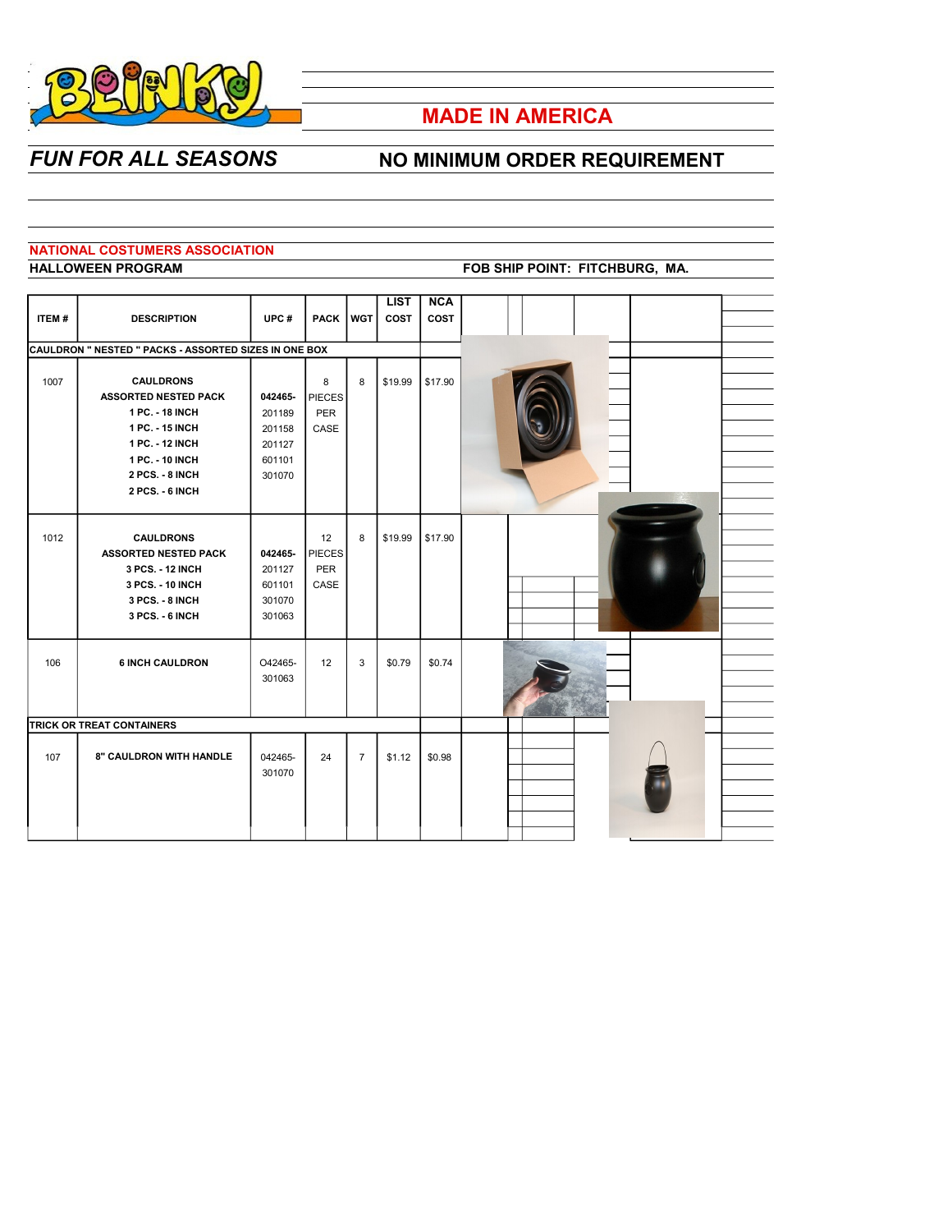

# **MADE IN AMERICA**

## *FUN FOR ALL SEASONS* NO MINIMUM ORDER REQUIREMENT

## **NATIONAL COSTUMERS ASSOCIATION**

#### **HALLOWEEN PROGRAM FOB SHIP POINT: FITCHBURG, MA.**

|              |                                                              |         |               |                | <b>LIST</b> | <b>NCA</b>  |  |
|--------------|--------------------------------------------------------------|---------|---------------|----------------|-------------|-------------|--|
| <b>ITEM#</b> | <b>DESCRIPTION</b>                                           | UPC#    | <b>PACK</b>   | <b>WGT</b>     | <b>COST</b> | <b>COST</b> |  |
|              |                                                              |         |               |                |             |             |  |
|              | <b>CAULDRON " NESTED " PACKS - ASSORTED SIZES IN ONE BOX</b> |         |               |                |             |             |  |
|              |                                                              |         |               |                |             |             |  |
| 1007         | <b>CAULDRONS</b>                                             |         | 8             | 8              | \$19.99     | \$17.90     |  |
|              | <b>ASSORTED NESTED PACK</b>                                  | 042465- | <b>PIECES</b> |                |             |             |  |
|              | 1 PC. - 18 INCH                                              | 201189  | PER           |                |             |             |  |
|              | 1 PC. - 15 INCH                                              | 201158  | CASE          |                |             |             |  |
|              | 1 PC. - 12 INCH                                              | 201127  |               |                |             |             |  |
|              | 1 PC. - 10 INCH                                              | 601101  |               |                |             |             |  |
|              | 2 PCS. - 8 INCH                                              | 301070  |               |                |             |             |  |
|              | 2 PCS. - 6 INCH                                              |         |               |                |             |             |  |
|              |                                                              |         |               |                |             |             |  |
|              |                                                              |         |               |                |             |             |  |
| 1012         | <b>CAULDRONS</b>                                             |         | 12            | 8              | \$19.99     | \$17.90     |  |
|              | <b>ASSORTED NESTED PACK</b>                                  | 042465- | <b>PIECES</b> |                |             |             |  |
|              | 3 PCS. - 12 INCH                                             | 201127  | PER           |                |             |             |  |
|              | 3 PCS. - 10 INCH                                             | 601101  | CASE          |                |             |             |  |
|              | 3 PCS. - 8 INCH                                              | 301070  |               |                |             |             |  |
|              | 3 PCS. - 6 INCH                                              | 301063  |               |                |             |             |  |
|              |                                                              |         |               |                |             |             |  |
|              |                                                              |         |               |                |             |             |  |
| 106          | <b>6 INCH CAULDRON</b>                                       | O42465- | 12            | 3              | \$0.79      | \$0.74      |  |
|              |                                                              | 301063  |               |                |             |             |  |
|              |                                                              |         |               |                |             |             |  |
|              |                                                              |         |               |                |             |             |  |
|              | TRICK OR TREAT CONTAINERS                                    |         |               |                |             |             |  |
|              |                                                              |         |               |                |             |             |  |
| 107          | <b>8" CAULDRON WITH HANDLE</b>                               | 042465- | 24            | $\overline{7}$ | \$1.12      | \$0.98      |  |
|              |                                                              | 301070  |               |                |             |             |  |
|              |                                                              |         |               |                |             |             |  |
|              |                                                              |         |               |                |             |             |  |
|              |                                                              |         |               |                |             |             |  |
|              |                                                              |         |               |                |             |             |  |